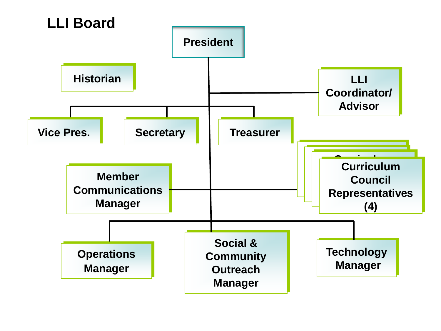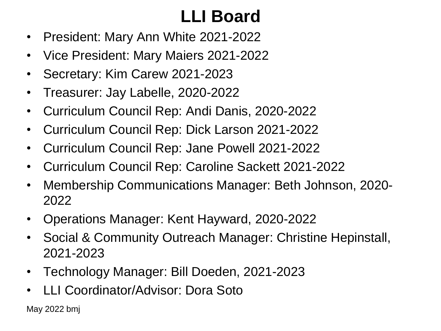# **LLI Board**

- President: Mary Ann White 2021-2022
- Vice President: Mary Maiers 2021-2022
- Secretary: Kim Carew 2021-2023
- Treasurer: Jay Labelle, 2020-2022
- Curriculum Council Rep: Andi Danis, 2020-2022
- Curriculum Council Rep: Dick Larson 2021-2022
- Curriculum Council Rep: Jane Powell 2021-2022
- Curriculum Council Rep: Caroline Sackett 2021-2022
- Membership Communications Manager: Beth Johnson, 2020- 2022
- Operations Manager: Kent Hayward, 2020-2022
- Social & Community Outreach Manager: Christine Hepinstall, 2021-2023
- Technology Manager: Bill Doeden, 2021-2023
- LLI Coordinator/Advisor: Dora Soto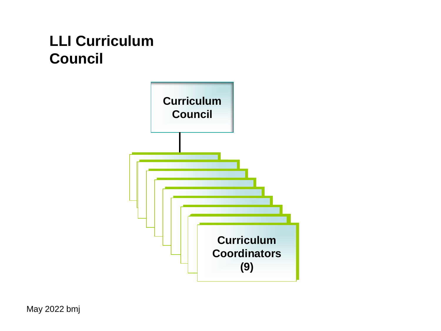#### **LLI Curriculum Council**

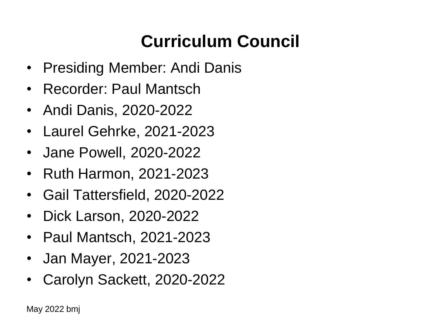# **Curriculum Council**

- Presiding Member: Andi Danis
- Recorder: Paul Mantsch
- Andi Danis, 2020-2022
- Laurel Gehrke, 2021-2023
- Jane Powell, 2020-2022
- Ruth Harmon, 2021-2023
- Gail Tattersfield, 2020-2022
- Dick Larson, 2020-2022
- Paul Mantsch, 2021-2023
- Jan Mayer, 2021-2023
- Carolyn Sackett, 2020-2022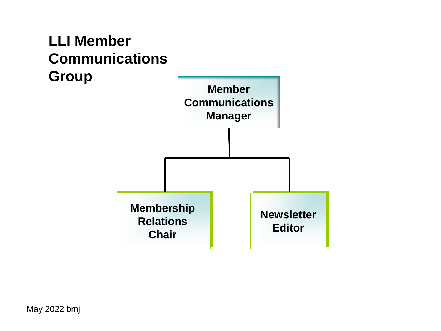#### **LLI Member Communications Group**

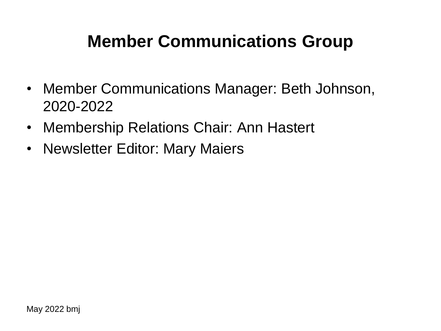## **Member Communications Group**

- Member Communications Manager: Beth Johnson, 2020-2022
- Membership Relations Chair: Ann Hastert
- Newsletter Editor: Mary Maiers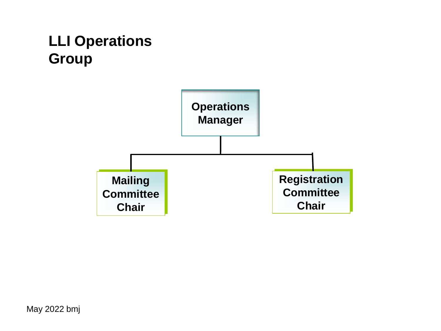#### **LLI Operations Group**

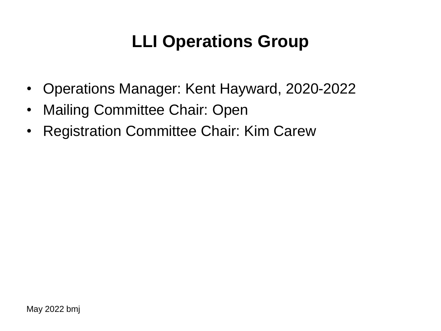# **LLI Operations Group**

- Operations Manager: Kent Hayward, 2020-2022
- Mailing Committee Chair: Open
- Registration Committee Chair: Kim Carew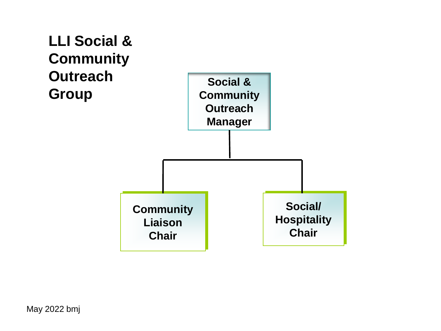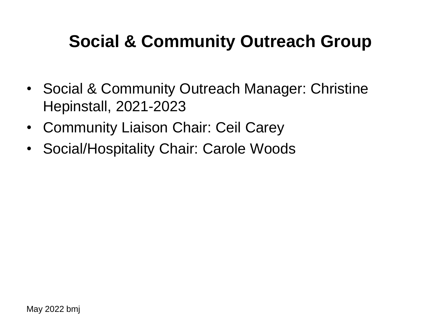## **Social & Community Outreach Group**

- Social & Community Outreach Manager: Christine Hepinstall, 2021-2023
- Community Liaison Chair: Ceil Carey
- Social/Hospitality Chair: Carole Woods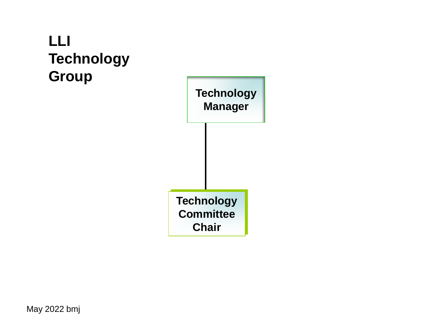### **LLI Technology Group**

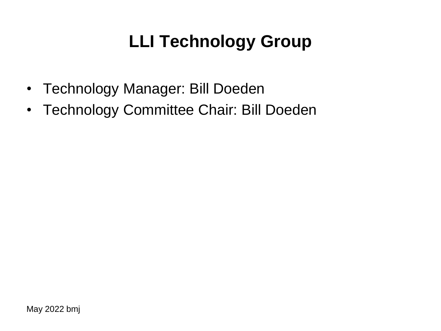# **LLI Technology Group**

- Technology Manager: Bill Doeden
- Technology Committee Chair: Bill Doeden